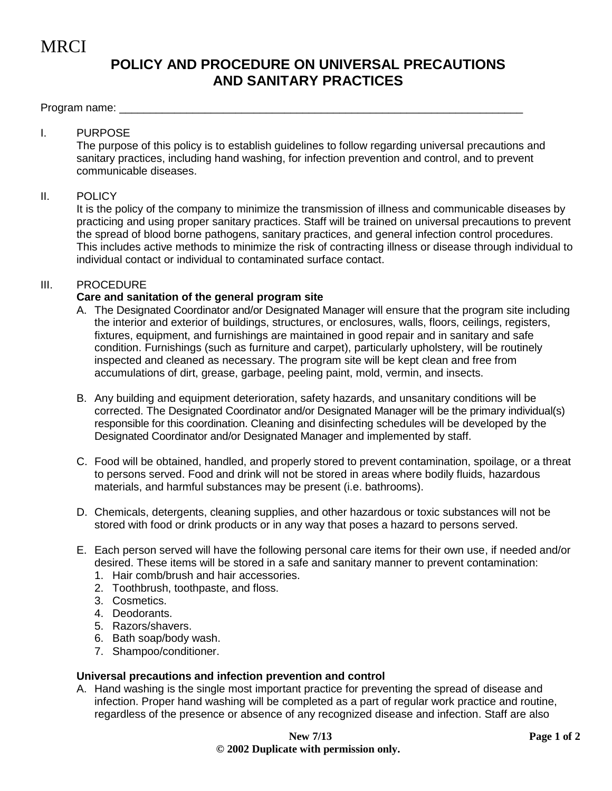**MRCI** 

# **POLICY AND PROCEDURE ON UNIVERSAL PRECAUTIONS AND SANITARY PRACTICES**

Program name:

### I. PURPOSE

The purpose of this policy is to establish guidelines to follow regarding universal precautions and sanitary practices, including hand washing, for infection prevention and control, and to prevent communicable diseases.

#### II. POLICY

It is the policy of the company to minimize the transmission of illness and communicable diseases by practicing and using proper sanitary practices. Staff will be trained on universal precautions to prevent the spread of blood borne pathogens, sanitary practices, and general infection control procedures. This includes active methods to minimize the risk of contracting illness or disease through individual to individual contact or individual to contaminated surface contact.

### III. PROCEDURE

#### **Care and sanitation of the general program site**

- A. The Designated Coordinator and/or Designated Manager will ensure that the program site including the interior and exterior of buildings, structures, or enclosures, walls, floors, ceilings, registers, fixtures, equipment, and furnishings are maintained in good repair and in sanitary and safe condition. Furnishings (such as furniture and carpet), particularly upholstery, will be routinely inspected and cleaned as necessary. The program site will be kept clean and free from accumulations of dirt, grease, garbage, peeling paint, mold, vermin, and insects.
- B. Any building and equipment deterioration, safety hazards, and unsanitary conditions will be corrected. The Designated Coordinator and/or Designated Manager will be the primary individual(s) responsible for this coordination. Cleaning and disinfecting schedules will be developed by the Designated Coordinator and/or Designated Manager and implemented by staff.
- C. Food will be obtained, handled, and properly stored to prevent contamination, spoilage, or a threat to persons served. Food and drink will not be stored in areas where bodily fluids, hazardous materials, and harmful substances may be present (i.e. bathrooms).
- D. Chemicals, detergents, cleaning supplies, and other hazardous or toxic substances will not be stored with food or drink products or in any way that poses a hazard to persons served.
- E. Each person served will have the following personal care items for their own use, if needed and/or desired. These items will be stored in a safe and sanitary manner to prevent contamination:
	- 1. Hair comb/brush and hair accessories.
	- 2. Toothbrush, toothpaste, and floss.
	- 3. Cosmetics.
	- 4. Deodorants.
	- 5. Razors/shavers.
	- 6. Bath soap/body wash.
	- 7. Shampoo/conditioner.

#### **Universal precautions and infection prevention and control**

A. Hand washing is the single most important practice for preventing the spread of disease and infection. Proper hand washing will be completed as a part of regular work practice and routine, regardless of the presence or absence of any recognized disease and infection. Staff are also